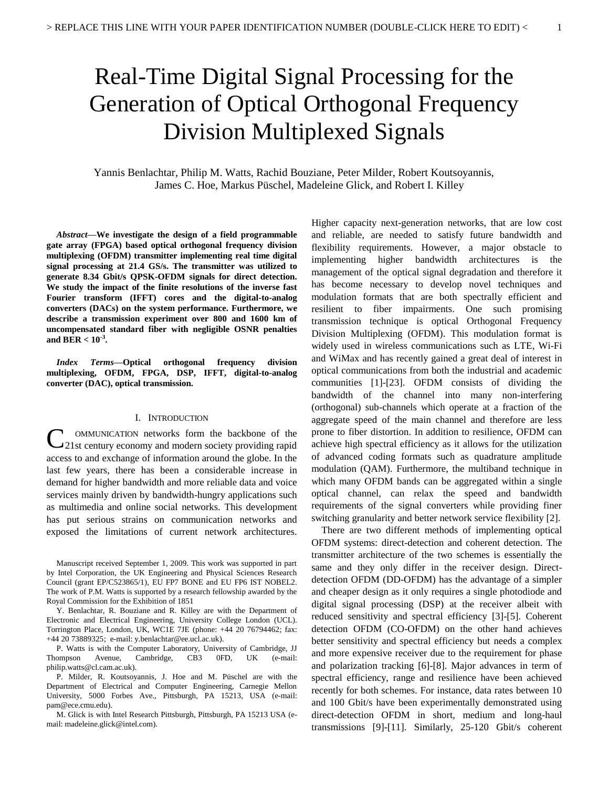# Real-Time Digital Signal Processing for the Generation of Optical Orthogonal Frequency Division Multiplexed Signals

Yannis Benlachtar, Philip M. Watts, Rachid Bouziane, Peter Milder, Robert Koutsoyannis, James C. Hoe, Markus Püschel, Madeleine Glick, and Robert I. Killey

*Abstract***—We investigate the design of a field programmable gate array (FPGA) based optical orthogonal frequency division multiplexing (OFDM) transmitter implementing real time digital signal processing at 21.4 GS/s. The transmitter was utilized to generate 8.34 Gbit/s QPSK-OFDM signals for direct detection. We study the impact of the finite resolutions of the inverse fast Fourier transform (IFFT) cores and the digital-to-analog converters (DACs) on the system performance. Furthermore, we describe a transmission experiment over 800 and 1600 km of uncompensated standard fiber with negligible OSNR penalties and BER < 10-3 .**

*Index Terms***—Optical orthogonal frequency division multiplexing, OFDM, FPGA, DSP, IFFT, digital-to-analog converter (DAC), optical transmission.**

# I. INTRODUCTION

OMMUNICATION networks form the backbone of the C OMMUNICATION networks form the backbone of the 21st century economy and modern society providing rapid access to and exchange of information around the globe. In the last few years, there has been a considerable increase in demand for higher bandwidth and more reliable data and voice services mainly driven by bandwidth-hungry applications such as multimedia and online social networks. This development has put serious strains on communication networks and exposed the limitations of current network architectures.

Manuscript received September 1, 2009. This work was supported in part by Intel Corporation, the UK Engineering and Physical Sciences Research Council (grant EP/C523865/1), EU FP7 BONE and EU FP6 IST NOBEL2. The work of P.M. Watts is supported by a research fellowship awarded by the Royal Commission for the Exhibition of 1851

Y. Benlachtar, R. Bouziane and R. Killey are with the Department of Electronic and Electrical Engineering, University College London (UCL). Torrington Place, London, UK, WC1E 7JE (phone: +44 20 76794462; fax: +44 20 73889325; e-mail: y.benlachtar@ee.ucl.ac.uk).

P. Watts is with the Computer Laboratory, University of Cambridge, JJ Thompson Avenue, Cambridge, CB3 0FD, UK (e-mail: philip.watts@cl.cam.ac.uk).

P. Milder, R. Koutsoyannis, J. Hoe and M. Püschel are with the Department of Electrical and Computer Engineering, Carnegie Mellon University, 5000 Forbes Ave., Pittsburgh, PA 15213, USA (e-mail: pam@ece.cmu.edu).

M. Glick is with Intel Research Pittsburgh, Pittsburgh, PA 15213 USA (email: madeleine.glick@intel.com).

Higher capacity next-generation networks, that are low cost and reliable, are needed to satisfy future bandwidth and flexibility requirements. However, a major obstacle to implementing higher bandwidth architectures is the management of the optical signal degradation and therefore it has become necessary to develop novel techniques and modulation formats that are both spectrally efficient and resilient to fiber impairments. One such promising transmission technique is optical Orthogonal Frequency Division Multiplexing (OFDM). This modulation format is widely used in wireless communications such as LTE, Wi-Fi and WiMax and has recently gained a great deal of interest in optical communications from both the industrial and academic communities [1]-[23]. OFDM consists of dividing the bandwidth of the channel into many non-interfering (orthogonal) sub-channels which operate at a fraction of the aggregate speed of the main channel and therefore are less prone to fiber distortion. In addition to resilience, OFDM can achieve high spectral efficiency as it allows for the utilization of advanced coding formats such as quadrature amplitude modulation (QAM). Furthermore, the multiband technique in which many OFDM bands can be aggregated within a single optical channel, can relax the speed and bandwidth requirements of the signal converters while providing finer switching granularity and better network service flexibility [2].

There are two different methods of implementing optical OFDM systems: direct-detection and coherent detection. The transmitter architecture of the two schemes is essentially the same and they only differ in the receiver design. Directdetection OFDM (DD-OFDM) has the advantage of a simpler and cheaper design as it only requires a single photodiode and digital signal processing (DSP) at the receiver albeit with reduced sensitivity and spectral efficiency [3]-[5]. Coherent detection OFDM (CO-OFDM) on the other hand achieves better sensitivity and spectral efficiency but needs a complex and more expensive receiver due to the requirement for phase and polarization tracking [6]-[8]. Major advances in term of spectral efficiency, range and resilience have been achieved recently for both schemes. For instance, data rates between 10 and 100 Gbit/s have been experimentally demonstrated using direct-detection OFDM in short, medium and long-haul transmissions [9]-[11]. Similarly, 25-120 Gbit/s coherent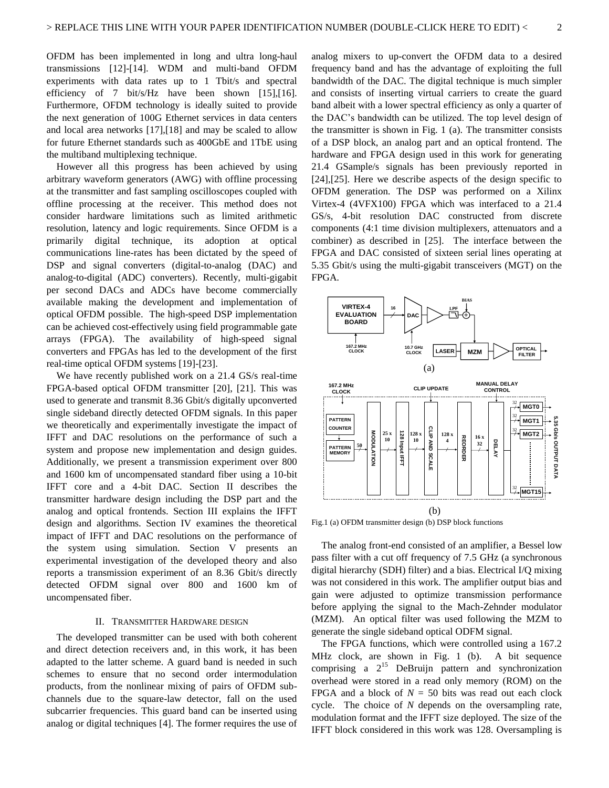OFDM has been implemented in long and ultra long-haul transmissions [12]-[14]. WDM and multi-band OFDM experiments with data rates up to 1 Tbit/s and spectral efficiency of 7 bit/s/Hz have been shown [15],[16]. Furthermore, OFDM technology is ideally suited to provide the next generation of 100G Ethernet services in data centers and local area networks [17],[18] and may be scaled to allow for future Ethernet standards such as 400GbE and 1TbE using the multiband multiplexing technique.

However all this progress has been achieved by using arbitrary waveform generators (AWG) with offline processing at the transmitter and fast sampling oscilloscopes coupled with offline processing at the receiver. This method does not consider hardware limitations such as limited arithmetic resolution, latency and logic requirements. Since OFDM is a primarily digital technique, its adoption at optical communications line-rates has been dictated by the speed of DSP and signal converters (digital-to-analog (DAC) and analog-to-digital (ADC) converters). Recently, multi-gigabit per second DACs and ADCs have become commercially available making the development and implementation of optical OFDM possible. The high-speed DSP implementation can be achieved cost-effectively using field programmable gate arrays (FPGA). The availability of high-speed signal converters and FPGAs has led to the development of the first real-time optical OFDM systems [19]-[23].

We have recently published work on a 21.4 GS/s real-time FPGA-based optical OFDM transmitter [20], [21]. This was used to generate and transmit 8.36 Gbit/s digitally upconverted single sideband directly detected OFDM signals. In this paper we theoretically and experimentally investigate the impact of IFFT and DAC resolutions on the performance of such a system and propose new implementation and design guides. Additionally, we present a transmission experiment over 800 and 1600 km of uncompensated standard fiber using a 10-bit IFFT core and a 4-bit DAC. Section II describes the transmitter hardware design including the DSP part and the analog and optical frontends. Section III explains the IFFT design and algorithms. Section IV examines the theoretical impact of IFFT and DAC resolutions on the performance of the system using simulation. Section V presents an experimental investigation of the developed theory and also reports a transmission experiment of an 8.36 Gbit/s directly detected OFDM signal over 800 and 1600 km of uncompensated fiber.

#### II. TRANSMITTER HARDWARE DESIGN

The developed transmitter can be used with both coherent and direct detection receivers and, in this work, it has been adapted to the latter scheme. A guard band is needed in such schemes to ensure that no second order intermodulation products, from the nonlinear mixing of pairs of OFDM subchannels due to the square-law detector, fall on the used subcarrier frequencies. This guard band can be inserted using analog or digital techniques [4]. The former requires the use of analog mixers to up-convert the OFDM data to a desired frequency band and has the advantage of exploiting the full bandwidth of the DAC. The digital technique is much simpler and consists of inserting virtual carriers to create the guard band albeit with a lower spectral efficiency as only a quarter of the DAC"s bandwidth can be utilized. The top level design of the transmitter is shown in Fig. 1 (a). The transmitter consists of a DSP block, an analog part and an optical frontend. The hardware and FPGA design used in this work for generating 21.4 GSample/s signals has been previously reported in [24],[25]. Here we describe aspects of the design specific to OFDM generation. The DSP was performed on a Xilinx Virtex-4 (4VFX100) FPGA which was interfaced to a 21.4 GS/s, 4-bit resolution DAC constructed from discrete components (4:1 time division multiplexers, attenuators and a combiner) as described in [25]. The interface between the FPGA and DAC consisted of sixteen serial lines operating at 5.35 Gbit/s using the multi-gigabit transceivers (MGT) on the FPGA.



Fig.1 (a) OFDM transmitter design (b) DSP block functions

The analog front-end consisted of an amplifier, a Bessel low pass filter with a cut off frequency of 7.5 GHz (a synchronous digital hierarchy (SDH) filter) and a bias. Electrical I/Q mixing was not considered in this work. The amplifier output bias and gain were adjusted to optimize transmission performance before applying the signal to the Mach-Zehnder modulator (MZM). An optical filter was used following the MZM to generate the single sideband optical ODFM signal.

The FPGA functions, which were controlled using a 167.2 MHz clock, are shown in Fig. 1 (b). A bit sequence comprising a  $2^{15}$  DeBruijn pattern and synchronization overhead were stored in a read only memory (ROM) on the FPGA and a block of  $N = 50$  bits was read out each clock cycle. The choice of *N* depends on the oversampling rate, modulation format and the IFFT size deployed. The size of the IFFT block considered in this work was 128. Oversampling is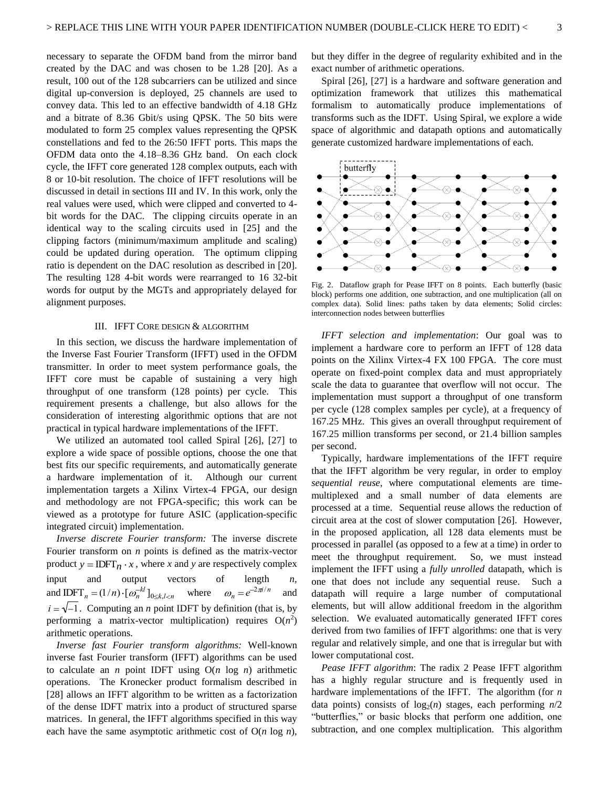necessary to separate the OFDM band from the mirror band created by the DAC and was chosen to be 1.28 [20]. As a result, 100 out of the 128 subcarriers can be utilized and since digital up-conversion is deployed, 25 channels are used to convey data. This led to an effective bandwidth of 4.18 GHz and a bitrate of 8.36 Gbit/s using QPSK. The 50 bits were modulated to form 25 complex values representing the QPSK constellations and fed to the 26:50 IFFT ports. This maps the OFDM data onto the 4.18–8.36 GHz band. On each clock cycle, the IFFT core generated 128 complex outputs, each with 8 or 10-bit resolution. The choice of IFFT resolutions will be discussed in detail in sections III and IV. In this work, only the real values were used, which were clipped and converted to 4 bit words for the DAC. The clipping circuits operate in an identical way to the scaling circuits used in [25] and the clipping factors (minimum/maximum amplitude and scaling) could be updated during operation. The optimum clipping ratio is dependent on the DAC resolution as described in [20]. The resulting 128 4-bit words were rearranged to 16 32-bit words for output by the MGTs and appropriately delayed for alignment purposes.

# III. IFFT CORE DESIGN & ALGORITHM

In this section, we discuss the hardware implementation of the Inverse Fast Fourier Transform (IFFT) used in the OFDM transmitter. In order to meet system performance goals, the IFFT core must be capable of sustaining a very high throughput of one transform (128 points) per cycle. This requirement presents a challenge, but also allows for the consideration of interesting algorithmic options that are not practical in typical hardware implementations of the IFFT.

We utilized an automated tool called Spiral [26], [27] to explore a wide space of possible options, choose the one that best fits our specific requirements, and automatically generate a hardware implementation of it. Although our current implementation targets a Xilinx Virtex-4 FPGA, our design and methodology are not FPGA-specific; this work can be viewed as a prototype for future ASIC (application-specific integrated circuit) implementation.

*Inverse discrete Fourier transform:* The inverse discrete Fourier transform on *n* points is defined as the matrix-vector product  $y = IDFT_n \cdot x$ , where *x* and *y* are respectively complex input and output vectors of length *n*, and IDFT<sub>n</sub> =  $(1/n) \cdot [\omega_n^{-kl}]_{0 \le k, l < n}$  where  $\omega_n = e^{-2\pi i/n}$ and  $i = \sqrt{-1}$ . Computing an *n* point IDFT by definition (that is, by performing a matrix-vector multiplication) requires  $O(n^2)$ arithmetic operations.

*Inverse fast Fourier transform algorithms:* Well-known inverse fast Fourier transform (IFFT) algorithms can be used to calculate an *n* point IDFT using O(*n* log *n*) arithmetic operations. The Kronecker product formalism described in [28] allows an IFFT algorithm to be written as a factorization of the dense IDFT matrix into a product of structured sparse matrices. In general, the IFFT algorithms specified in this way each have the same asymptotic arithmetic cost of O(*n* log *n*),

but they differ in the degree of regularity exhibited and in the exact number of arithmetic operations.

Spiral [26], [27] is a hardware and software generation and optimization framework that utilizes this mathematical formalism to automatically produce implementations of transforms such as the IDFT. Using Spiral, we explore a wide space of algorithmic and datapath options and automatically generate customized hardware implementations of each.



Fig. 2. Dataflow graph for Pease IFFT on 8 points. Each butterfly (basic block) performs one addition, one subtraction, and one multiplication (all on complex data). Solid lines: paths taken by data elements; Solid circles: interconnection nodes between butterflies

*IFFT selection and implementation*: Our goal was to implement a hardware core to perform an IFFT of 128 data points on the Xilinx Virtex-4 FX 100 FPGA. The core must operate on fixed-point complex data and must appropriately scale the data to guarantee that overflow will not occur. The implementation must support a throughput of one transform per cycle (128 complex samples per cycle), at a frequency of 167.25 MHz. This gives an overall throughput requirement of 167.25 million transforms per second, or 21.4 billion samples per second.

Typically, hardware implementations of the IFFT require that the IFFT algorithm be very regular, in order to employ *sequential reuse*, where computational elements are timemultiplexed and a small number of data elements are processed at a time. Sequential reuse allows the reduction of circuit area at the cost of slower computation [26]. However, in the proposed application, all 128 data elements must be processed in parallel (as opposed to a few at a time) in order to meet the throughput requirement. So, we must instead implement the IFFT using a *fully unrolled* datapath, which is one that does not include any sequential reuse. Such a datapath will require a large number of computational elements, but will allow additional freedom in the algorithm selection. We evaluated automatically generated IFFT cores derived from two families of IFFT algorithms: one that is very regular and relatively simple, and one that is irregular but with lower computational cost.

*Pease IFFT algorithm*: The radix 2 Pease IFFT algorithm has a highly regular structure and is frequently used in hardware implementations of the IFFT. The algorithm (for *n* data points) consists of  $log_2(n)$  stages, each performing  $n/2$ "butterflies," or basic blocks that perform one addition, one subtraction, and one complex multiplication. This algorithm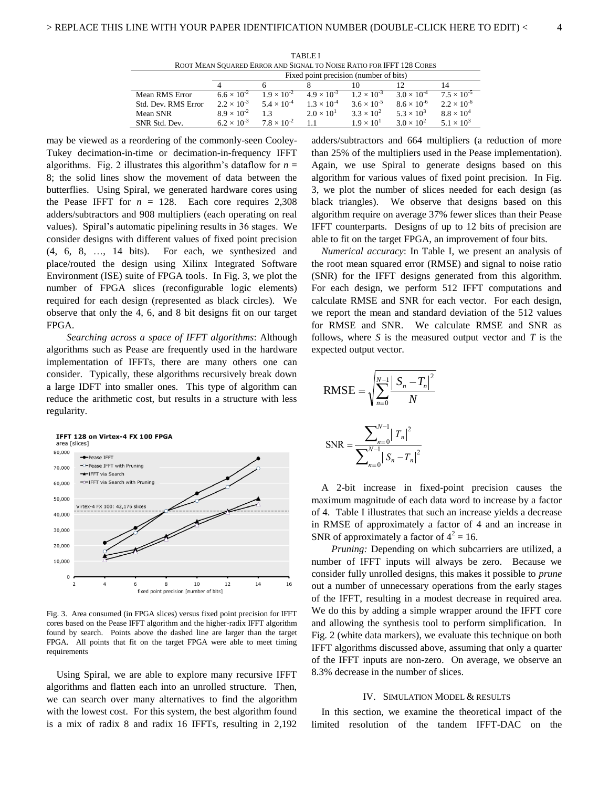| TABLET                                                               |                                        |                      |                      |                      |                      |                      |  |  |  |
|----------------------------------------------------------------------|----------------------------------------|----------------------|----------------------|----------------------|----------------------|----------------------|--|--|--|
| ROOT MEAN SOUARED ERROR AND SIGNAL TO NOISE RATIO FOR IFFT 128 CORES |                                        |                      |                      |                      |                      |                      |  |  |  |
|                                                                      | Fixed point precision (number of bits) |                      |                      |                      |                      |                      |  |  |  |
|                                                                      |                                        |                      |                      |                      |                      | 14                   |  |  |  |
| Mean RMS Error                                                       | $6.6 \times 10^{-2}$                   | $1.9 \times 10^{-2}$ | $4.9 \times 10^{-3}$ | $1.2 \times 10^{-3}$ | $3.0 \times 10^{-4}$ | $7.5 \times 10^{-5}$ |  |  |  |
| Std. Dev. RMS Error                                                  | $2.2 \times 10^{-3}$                   | $5.4 \times 10^{-4}$ | $1.3 \times 10^{-4}$ | $3.6 \times 10^{-5}$ | $8.6 \times 10^{-6}$ | $2.2 \times 10^{-6}$ |  |  |  |
| Mean SNR                                                             | $8.9 \times 10^{-2}$                   | 13                   | $2.0 \times 10^{1}$  | $3.3 \times 10^{2}$  | $5.3 \times 10^{3}$  | $8.8 \times 10^4$    |  |  |  |
| SNR Std. Dev.                                                        | $6.2 \times 10^{-3}$                   | $7.8 \times 10^{-2}$ | 11                   | $1.9 \times 10^{1}$  | $3.0 \times 10^{2}$  | $5.1 \times 10^{3}$  |  |  |  |

TABLE I

may be viewed as a reordering of the commonly-seen Cooley-Tukey decimation-in-time or decimation-in-frequency IFFT algorithms. Fig. 2 illustrates this algorithm's dataflow for  $n =$ 8; the solid lines show the movement of data between the butterflies. Using Spiral, we generated hardware cores using the Pease IFFT for  $n = 128$ . Each core requires 2,308 adders/subtractors and 908 multipliers (each operating on real values). Spiral"s automatic pipelining results in 36 stages. We consider designs with different values of fixed point precision (4, 6, 8, …, 14 bits). For each, we synthesized and place/routed the design using Xilinx Integrated Software Environment (ISE) suite of FPGA tools. In Fig. 3, we plot the number of FPGA slices (reconfigurable logic elements) required for each design (represented as black circles). We observe that only the 4, 6, and 8 bit designs fit on our target FPGA.

*Searching across a space of IFFT algorithms*: Although algorithms such as Pease are frequently used in the hardware implementation of IFFTs, there are many others one can consider. Typically, these algorithms recursively break down a large IDFT into smaller ones. This type of algorithm can reduce the arithmetic cost, but results in a structure with less regularity.



Fig. 3. Area consumed (in FPGA slices) versus fixed point precision for IFFT cores based on the Pease IFFT algorithm and the higher-radix IFFT algorithm found by search. Points above the dashed line are larger than the target FPGA. All points that fit on the target FPGA were able to meet timing requirements

Using Spiral, we are able to explore many recursive IFFT algorithms and flatten each into an unrolled structure. Then, we can search over many alternatives to find the algorithm with the lowest cost. For this system, the best algorithm found is a mix of radix 8 and radix 16 IFFTs, resulting in 2,192 adders/subtractors and 664 multipliers (a reduction of more than 25% of the multipliers used in the Pease implementation). Again, we use Spiral to generate designs based on this algorithm for various values of fixed point precision. In Fig. 3, we plot the number of slices needed for each design (as black triangles). We observe that designs based on this algorithm require on average 37% fewer slices than their Pease IFFT counterparts. Designs of up to 12 bits of precision are able to fit on the target FPGA, an improvement of four bits.

*Numerical accuracy*: In Table I, we present an analysis of the root mean squared error (RMSE) and signal to noise ratio (SNR) for the IFFT designs generated from this algorithm. For each design, we perform 512 IFFT computations and calculate RMSE and SNR for each vector. For each design, we report the mean and standard deviation of the 512 values for RMSE and SNR. We calculate RMSE and SNR as follows, where *S* is the measured output vector and *T* is the expected output vector.

RMSE = 
$$
\sqrt{\sum_{n=0}^{N-1} \frac{|S_n - T_n|^2}{N}}
$$

$$
SNR = \frac{\sum_{n=0}^{N-1} |T_n|^2}{\sum_{n=0}^{N-1} |S_n - T_n|^2}
$$

A 2-bit increase in fixed-point precision causes the maximum magnitude of each data word to increase by a factor of 4. Table I illustrates that such an increase yields a decrease in RMSE of approximately a factor of 4 and an increase in SNR of approximately a factor of  $4^2 = 16$ .

*Pruning:* Depending on which subcarriers are utilized, a number of IFFT inputs will always be zero. Because we consider fully unrolled designs, this makes it possible to *prune* out a number of unnecessary operations from the early stages of the IFFT, resulting in a modest decrease in required area. We do this by adding a simple wrapper around the IFFT core and allowing the synthesis tool to perform simplification. In Fig. 2 (white data markers), we evaluate this technique on both IFFT algorithms discussed above, assuming that only a quarter of the IFFT inputs are non-zero. On average, we observe an 8.3% decrease in the number of slices.

#### IV. SIMULATION MODEL & RESULTS

In this section, we examine the theoretical impact of the limited resolution of the tandem IFFT-DAC on the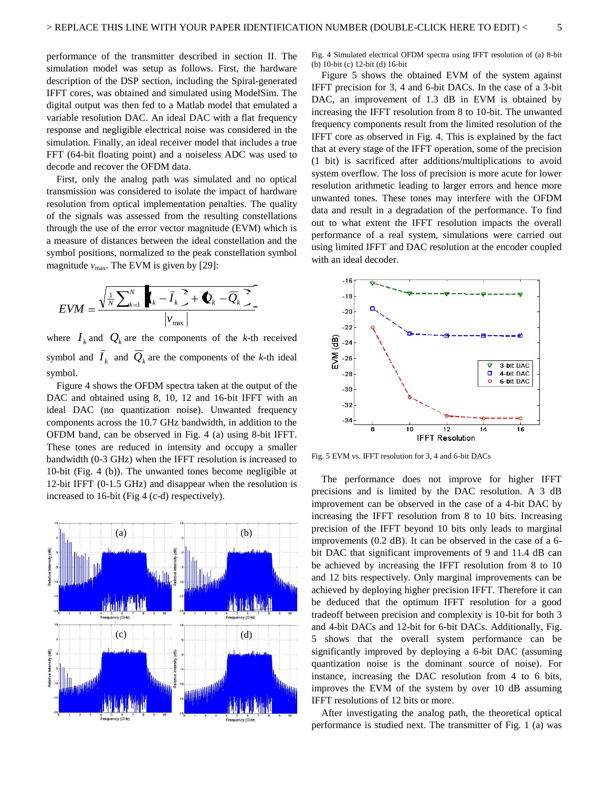performance of the transmitter described in section II. The simulation model was setup as follows. First, the hardware description of the DSP section, including the Spiral-generated IFFT cores, was obtained and simulated using ModelSim. The digital output was then fed to a Matlab model that emulated a variable resolution DAC. An ideal DAC with a flat frequency response and negligible electrical noise was considered in the simulation. Finally, an ideal receiver model that includes a true FFT (64-bit floating point) and a noiseless ADC was used to decode and recover the OFDM data.

First, only the analog path was simulated and no optical transmission was considered to isolate the impact of hardware resolution from optical implementation penalties. The quality of the signals was assessed from the resulting constellations through the use of the error vector magnitude (EVM) which is a measure of distances between the ideal constellation and the symbol positions, normalized to the peak constellation symbol magnitude  $v_{\text{max}}$ . The EVM is given by [29]:

$$
EVM = \frac{\sqrt{\frac{1}{N}\sum_{k=1}^{N} \left| \int_{k} -\overline{I}_{k}\right|^{2} + \left| \int_{k} -\overline{Q}_{k}\right|^{2}}}{|v_{\text{max}}|}
$$

where  $I_k$  and  $Q_k$  are the components of the *k*-th received symbol and  $I_k$  and  $Q_k$  are the components of the *k*-th ideal symbol.

Figure 4 shows the OFDM spectra taken at the output of the DAC and obtained using 8, 10, 12 and 16-bit IFFT with an ideal DAC (no quantization noise). Unwanted frequency components across the 10.7 GHz bandwidth, in addition to the OFDM band, can be observed in Fig. 4 (a) using 8-bit IFFT. These tones are reduced in intensity and occupy a smaller bandwidth (0-3 GHz) when the IFFT resolution is increased to 10-bit (Fig. 4 (b)). The unwanted tones become negligible at 12-bit IFFT (0-1.5 GHz) and disappear when the resolution is increased to 16-bit (Fig 4 (c-d) respectively).



Fig. 4 Simulated electrical OFDM spectra using IFFT resolution of (a) 8-bit (b) 10-bit (c) 12-bit (d) 16-bit

Figure 5 shows the obtained EVM of the system against IFFT precision for 3, 4 and 6-bit DACs. In the case of a 3-bit DAC, an improvement of 1.3 dB in EVM is obtained by increasing the IFFT resolution from 8 to 10-bit. The unwanted frequency components result from the limited resolution of the IFFT core as observed in Fig. 4. This is explained by the fact that at every stage of the IFFT operation, some of the precision (1 bit) is sacrificed after additions/multiplications to avoid system overflow. The loss of precision is more acute for lower resolution arithmetic leading to larger errors and hence more unwanted tones. These tones may interfere with the OFDM data and result in a degradation of the performance. To find out to what extent the IFFT resolution impacts the overall performance of a real system, simulations were carried out using limited IFFT and DAC resolution at the encoder coupled with an ideal decoder.



Fig. 5 EVM vs. IFFT resolution for 3, 4 and 6-bit DACs

The performance does not improve for higher IFFT precisions and is limited by the DAC resolution. A 3 dB improvement can be observed in the case of a 4-bit DAC by increasing the IFFT resolution from 8 to 10 bits. Increasing precision of the IFFT beyond 10 bits only leads to marginal improvements (0.2 dB). It can be observed in the case of a 6 bit DAC that significant improvements of 9 and 11.4 dB can be achieved by increasing the IFFT resolution from 8 to 10 and 12 bits respectively. Only marginal improvements can be achieved by deploying higher precision IFFT. Therefore it can be deduced that the optimum IFFT resolution for a good tradeoff between precision and complexity is 10-bit for both 3 and 4-bit DACs and 12-bit for 6-bit DACs. Additionally, Fig. 5 shows that the overall system performance can be significantly improved by deploying a 6-bit DAC (assuming quantization noise is the dominant source of noise). For instance, increasing the DAC resolution from 4 to 6 bits, improves the EVM of the system by over 10 dB assuming IFFT resolutions of 12 bits or more.

After investigating the analog path, the theoretical optical performance is studied next. The transmitter of Fig. 1 (a) was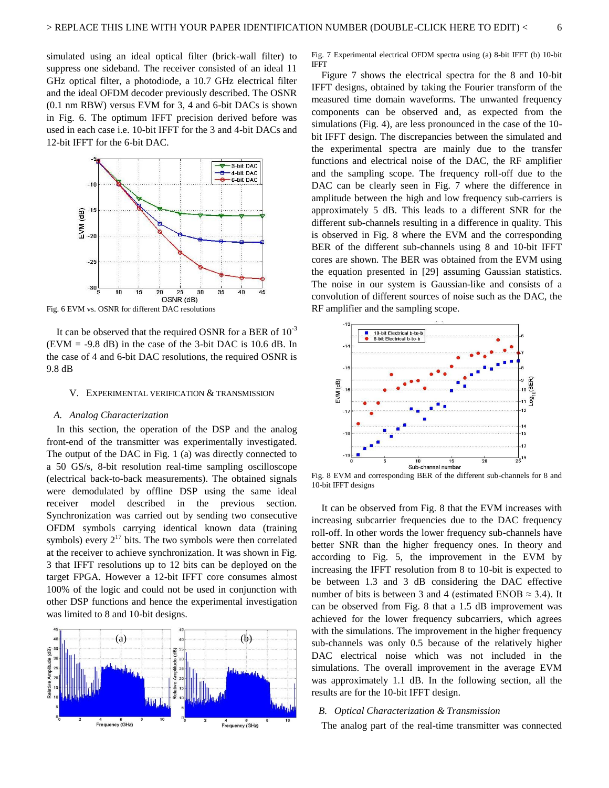simulated using an ideal optical filter (brick-wall filter) to suppress one sideband. The receiver consisted of an ideal 11 GHz optical filter, a photodiode, a 10.7 GHz electrical filter and the ideal OFDM decoder previously described. The OSNR (0.1 nm RBW) versus EVM for 3, 4 and 6-bit DACs is shown in Fig. 6. The optimum IFFT precision derived before was used in each case i.e. 10-bit IFFT for the 3 and 4-bit DACs and 12-bit IFFT for the 6-bit DAC.



Fig. 6 EVM vs. OSNR for different DAC resolutions

It can be observed that the required OSNR for a BER of  $10^{-3}$  $(EVM = -9.8$  dB) in the case of the 3-bit DAC is 10.6 dB. In the case of 4 and 6-bit DAC resolutions, the required OSNR is 9.8 dB

## V. EXPERIMENTAL VERIFICATION & TRANSMISSION

### *A. Analog Characterization*

In this section, the operation of the DSP and the analog front-end of the transmitter was experimentally investigated. The output of the DAC in Fig. 1 (a) was directly connected to a 50 GS/s, 8-bit resolution real-time sampling oscilloscope (electrical back-to-back measurements). The obtained signals were demodulated by offline DSP using the same ideal receiver model described in the previous section. Synchronization was carried out by sending two consecutive OFDM symbols carrying identical known data (training symbols) every  $2^{17}$  bits. The two symbols were then correlated at the receiver to achieve synchronization. It was shown in Fig. 3 that IFFT resolutions up to 12 bits can be deployed on the target FPGA. However a 12-bit IFFT core consumes almost 100% of the logic and could not be used in conjunction with other DSP functions and hence the experimental investigation was limited to 8 and 10-bit designs.



Fig. 7 Experimental electrical OFDM spectra using (a) 8-bit IFFT (b) 10-bit IFFT

Figure 7 shows the electrical spectra for the 8 and 10-bit IFFT designs, obtained by taking the Fourier transform of the measured time domain waveforms. The unwanted frequency components can be observed and, as expected from the simulations (Fig. 4), are less pronounced in the case of the 10 bit IFFT design. The discrepancies between the simulated and the experimental spectra are mainly due to the transfer functions and electrical noise of the DAC, the RF amplifier and the sampling scope. The frequency roll-off due to the DAC can be clearly seen in Fig. 7 where the difference in amplitude between the high and low frequency sub-carriers is approximately 5 dB. This leads to a different SNR for the different sub-channels resulting in a difference in quality. This is observed in Fig. 8 where the EVM and the corresponding BER of the different sub-channels using 8 and 10-bit IFFT cores are shown. The BER was obtained from the EVM using the equation presented in [29] assuming Gaussian statistics. The noise in our system is Gaussian-like and consists of a convolution of different sources of noise such as the DAC, the RF amplifier and the sampling scope.



Fig. 8 EVM and corresponding BER of the different sub-channels for 8 and 10-bit IFFT designs

It can be observed from Fig. 8 that the EVM increases with increasing subcarrier frequencies due to the DAC frequency roll-off. In other words the lower frequency sub-channels have better SNR than the higher frequency ones. In theory and according to Fig. 5, the improvement in the EVM by increasing the IFFT resolution from 8 to 10-bit is expected to be between 1.3 and 3 dB considering the DAC effective number of bits is between 3 and 4 (estimated ENOB  $\approx$  3.4). It can be observed from Fig. 8 that a 1.5 dB improvement was achieved for the lower frequency subcarriers, which agrees with the simulations. The improvement in the higher frequency sub-channels was only 0.5 because of the relatively higher DAC electrical noise which was not included in the simulations. The overall improvement in the average EVM was approximately 1.1 dB. In the following section, all the results are for the 10-bit IFFT design.

# *B. Optical Characterization & Transmission*

The analog part of the real-time transmitter was connected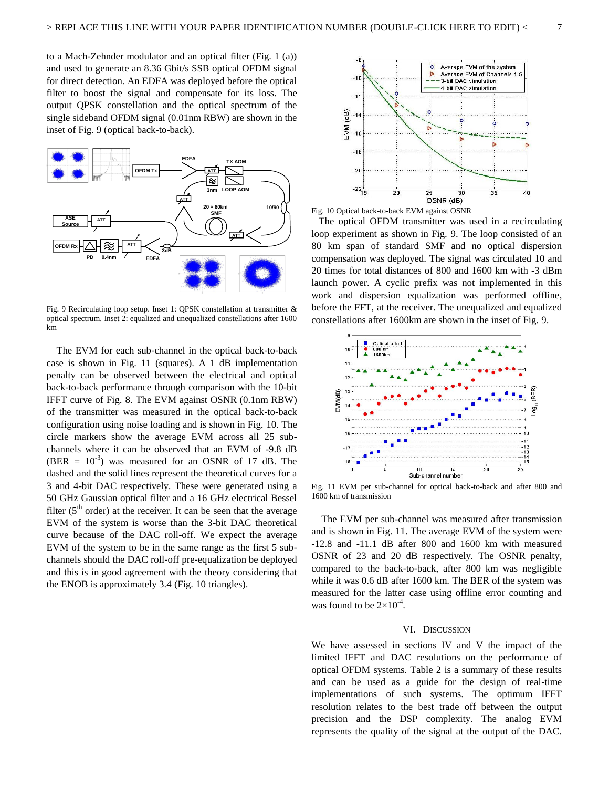to a Mach-Zehnder modulator and an optical filter (Fig. 1 (a)) and used to generate an 8.36 Gbit/s SSB optical OFDM signal for direct detection. An EDFA was deployed before the optical filter to boost the signal and compensate for its loss. The output QPSK constellation and the optical spectrum of the single sideband OFDM signal (0.01nm RBW) are shown in the inset of Fig. 9 (optical back-to-back).



Fig. 9 Recirculating loop setup. Inset 1: QPSK constellation at transmitter & optical spectrum. Inset 2: equalized and unequalized constellations after 1600 km

The EVM for each sub-channel in the optical back-to-back case is shown in Fig. 11 (squares). A 1 dB implementation penalty can be observed between the electrical and optical back-to-back performance through comparison with the 10-bit IFFT curve of Fig. 8. The EVM against OSNR (0.1nm RBW) of the transmitter was measured in the optical back-to-back configuration using noise loading and is shown in Fig. 10. The circle markers show the average EVM across all 25 subchannels where it can be observed that an EVM of -9.8 dB  $(BER = 10^{-3})$  was measured for an OSNR of 17 dB. The dashed and the solid lines represent the theoretical curves for a 3 and 4-bit DAC respectively. These were generated using a 50 GHz Gaussian optical filter and a 16 GHz electrical Bessel filter ( $5<sup>th</sup>$  order) at the receiver. It can be seen that the average EVM of the system is worse than the 3-bit DAC theoretical curve because of the DAC roll-off. We expect the average EVM of the system to be in the same range as the first 5 subchannels should the DAC roll-off pre-equalization be deployed and this is in good agreement with the theory considering that the ENOB is approximately 3.4 (Fig. 10 triangles).



Fig. 10 Optical back-to-back EVM against OSNR

The optical OFDM transmitter was used in a recirculating loop experiment as shown in Fig. 9. The loop consisted of an 80 km span of standard SMF and no optical dispersion compensation was deployed. The signal was circulated 10 and 20 times for total distances of 800 and 1600 km with -3 dBm launch power. A cyclic prefix was not implemented in this work and dispersion equalization was performed offline, before the FFT, at the receiver. The unequalized and equalized constellations after 1600km are shown in the inset of Fig. 9.



Fig. 11 EVM per sub-channel for optical back-to-back and after 800 and 1600 km of transmission

The EVM per sub-channel was measured after transmission and is shown in Fig. 11. The average EVM of the system were -12.8 and -11.1 dB after 800 and 1600 km with measured OSNR of 23 and 20 dB respectively. The OSNR penalty, compared to the back-to-back, after 800 km was negligible while it was 0.6 dB after 1600 km. The BER of the system was measured for the latter case using offline error counting and was found to be  $2\times10^{-4}$ .

## VI. DISCUSSION

We have assessed in sections IV and V the impact of the limited IFFT and DAC resolutions on the performance of optical OFDM systems. Table 2 is a summary of these results and can be used as a guide for the design of real-time implementations of such systems. The optimum IFFT resolution relates to the best trade off between the output precision and the DSP complexity. The analog EVM represents the quality of the signal at the output of the DAC.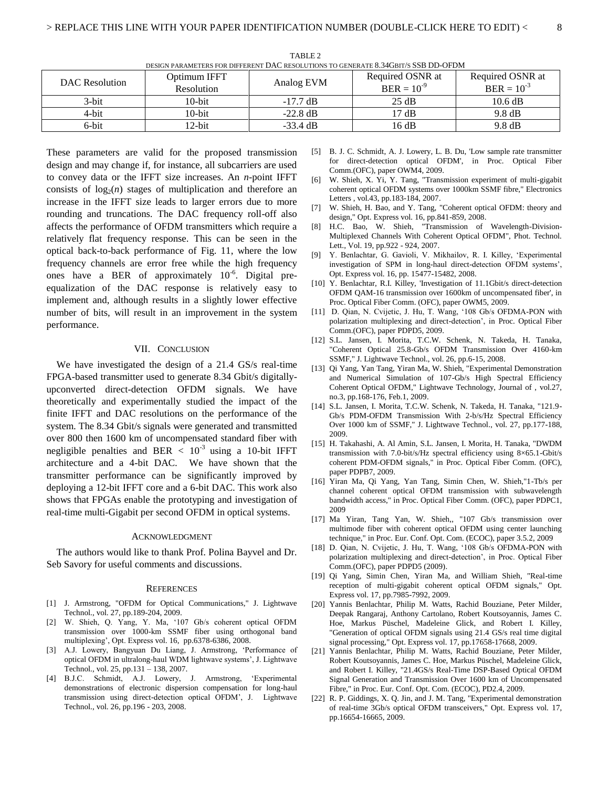| DAC Resolution | Optimum IFFT<br><b>Resolution</b> | Analog EVM         | Required OSNR at<br>$BER = 10^{-9}$ | Required OSNR at<br>$BER = 10^{-3}$ |
|----------------|-----------------------------------|--------------------|-------------------------------------|-------------------------------------|
| 3-bit          | 10-bit                            | $-17.7 \text{ dB}$ | 25 dB                               | 10.6 dB                             |
| 4-bit          | 10-bit                            | $-22.8$ dB         | 17 dB                               | $9.8 \text{ dB}$                    |
| 6-bit          | 12-bit                            | $-33.4$ dB         | 16 dB                               | $9.8 \text{ dB}$                    |

TABLE 2 DESIGN PARAMETERS FOR DIFFERENT DAC RESOLUTIONS TO GENERATE 8.34GBIT/S SSB DD-OFDM

These parameters are valid for the proposed transmission design and may change if, for instance, all subcarriers are used to convey data or the IFFT size increases. An *n*-point IFFT consists of  $log<sub>2</sub>(n)$  stages of multiplication and therefore an increase in the IFFT size leads to larger errors due to more rounding and truncations. The DAC frequency roll-off also affects the performance of OFDM transmitters which require a relatively flat frequency response. This can be seen in the optical back-to-back performance of Fig. 11, where the low frequency channels are error free while the high frequency ones have a BER of approximately  $10^{-6}$ . Digital preequalization of the DAC response is relatively easy to implement and, although results in a slightly lower effective number of bits, will result in an improvement in the system performance.

# VII. CONCLUSION

We have investigated the design of a 21.4 GS/s real-time FPGA-based transmitter used to generate 8.34 Gbit/s digitallyupconverted direct-detection OFDM signals. We have theoretically and experimentally studied the impact of the finite IFFT and DAC resolutions on the performance of the system. The 8.34 Gbit/s signals were generated and transmitted over 800 then 1600 km of uncompensated standard fiber with negligible penalties and BER  $\langle 10^{-3} \text{ using a 10-bit IFFT} \rangle$ architecture and a 4-bit DAC. We have shown that the transmitter performance can be significantly improved by deploying a 12-bit IFFT core and a 6-bit DAC. This work also shows that FPGAs enable the prototyping and investigation of real-time multi-Gigabit per second OFDM in optical systems.

# ACKNOWLEDGMENT

The authors would like to thank Prof. Polina Bayvel and Dr. Seb Savory for useful comments and discussions.

#### **REFERENCES**

- [1] J. Armstrong, "OFDM for Optical Communications," J. Lightwave Technol., vol. 27, pp.189-204, 2009.
- [2] W. Shieh, Q. Yang, Y. Ma, "107 Gb/s coherent optical OFDM transmission over 1000-km SSMF fiber using orthogonal band multiplexing", Opt. Express vol. 16, pp.6378-6386, 2008.
- [3] A.J. Lowery, Bangyuan Du Liang, J. Armstrong, "Performance of optical OFDM in ultralong-haul WDM lightwave systems", J. Lightwave Technol., vol. 25, pp.131 – 138, 2007.
- [4] B.J.C. Schmidt, A.J. Lowery, J. Armstrong, "Experimental demonstrations of electronic dispersion compensation for long-haul transmission using direct-detection optical OFDM", J. Lightwave Technol., vol. 26, pp.196 - 203, 2008.
- [5] B. J. C. Schmidt, A. J. Lowery, L. B. Du, 'Low sample rate transmitter for direct-detection optical OFDM', in Proc. Optical Fiber Comm.(OFC), paper OWM4, 2009.
- [6] W. Shieh, X. Yi, Y. Tang, "Transmission experiment of multi-gigabit coherent optical OFDM systems over 1000km SSMF fibre," Electronics Letters , vol.43, pp.183-184, 2007.
- [7] W. Shieh, H. Bao, and Y. Tang, "Coherent optical OFDM: theory and design," Opt. Express vol. 16, pp.841-859, 2008.
- [8] H.C. Bao, W. Shieh, "Transmission of Wavelength-Division-Multiplexed Channels With Coherent Optical OFDM", Phot. Technol. Lett., Vol. 19, pp.922 - 924, 2007.
- [9] Y. Benlachtar, G. Gavioli, V. Mikhailov, R. I. Killey, "Experimental investigation of SPM in long-haul direct-detection OFDM systems", Opt. Express vol. 16, pp. 15477-15482, 2008.
- [10] Y. Benlachtar, R.I. Killey, 'Investigation of 11.1Gbit/s direct-detection OFDM QAM-16 transmission over 1600km of uncompensated fiber', in Proc. Optical Fiber Comm. (OFC), paper OWM5, 2009.
- [11] D. Qian, N. Cvijetic, J. Hu, T. Wang, '108 Gb/s OFDMA-PON with polarization multiplexing and direct-detection", in Proc. Optical Fiber Comm.(OFC), paper PDPD5, 2009.
- [12] S.L. Jansen, I. Morita, T.C.W. Schenk, N. Takeda, H. Tanaka, "Coherent Optical 25.8-Gb/s OFDM Transmission Over 4160-km SSMF," J. Lightwave Technol., vol. 26, pp.6-15, 2008.
- [13] Qi Yang, Yan Tang, Yiran Ma, W. Shieh, "Experimental Demonstration and Numerical Simulation of 107-Gb/s High Spectral Efficiency Coherent Optical OFDM," Lightwave Technology, Journal of , vol.27, no.3, pp.168-176, Feb.1, 2009.
- [14] S.L. Jansen, I. Morita, T.C.W. Schenk, N. Takeda, H. Tanaka, "121.9- Gb/s PDM-OFDM Transmission With 2-b/s/Hz Spectral Efficiency Over 1000 km of SSMF," J. Lightwave Technol., vol. 27, pp.177-188, 2009.
- [15] H. Takahashi, A. Al Amin, S.L. Jansen, I. Morita, H. Tanaka, "DWDM transmission with 7.0-bit/s/Hz spectral efficiency using 8×65.1-Gbit/s coherent PDM-OFDM signals," in Proc. Optical Fiber Comm. (OFC), paper PDPB7, 2009.
- [16] Yiran Ma, Qi Yang, Yan Tang, Simin Chen, W. Shieh,"1-Tb/s per channel coherent optical OFDM transmission with subwavelength bandwidth access," in Proc. Optical Fiber Comm. (OFC), paper PDPC1, 2009
- [17] Ma Yiran, Tang Yan, W. Shieh,, "107 Gb/s transmission over multimode fiber with coherent optical OFDM using center launching technique," in Proc. Eur. Conf. Opt. Com. (ECOC), paper 3.5.2, 2009
- [18] D. Qian, N. Cvijetic, J. Hu, T. Wang, "108 Gb/s OFDMA-PON with polarization multiplexing and direct-detection", in Proc. Optical Fiber Comm.(OFC), paper PDPD5 (2009).
- [19] Qi Yang, Simin Chen, Yiran Ma, and William Shieh, "Real-time reception of multi-gigabit coherent optical OFDM signals," Opt. Express vol. 17, pp.7985-7992, 2009.
- [20] Yannis Benlachtar, Philip M. Watts, Rachid Bouziane, Peter Milder, Deepak Rangaraj, Anthony Cartolano, Robert Koutsoyannis, James C. Hoe, Markus Püschel, Madeleine Glick, and Robert I. Killey, "Generation of optical OFDM signals using 21.4 GS/s real time digital signal processing," Opt. Express vol. 17, pp.17658-17668, 2009.
- [21] Yannis Benlachtar, Philip M. Watts, Rachid Bouziane, Peter Milder, Robert Koutsoyannis, James C. Hoe, Markus Püschel, Madeleine Glick, and Robert I. Killey, "21.4GS/s Real-Time DSP-Based Optical OFDM Signal Generation and Transmission Over 1600 km of Uncompensated Fibre," in Proc. Eur. Conf. Opt. Com. (ECOC), PD2.4, 2009.
- [22] R. P. Giddings, X. Q. Jin, and J. M. Tang, "Experimental demonstration of real-time 3Gb/s optical OFDM transceivers," Opt. Express vol. 17, pp.16654-16665, 2009.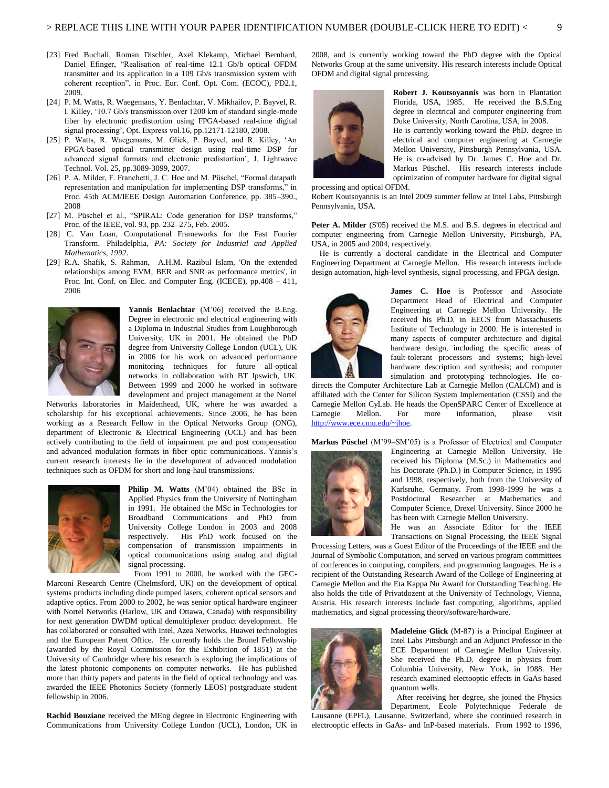- [23] Fred Buchali, Roman Dischler, Axel Klekamp, Michael Bernhard, Daniel Efinger, "Realisation of real-time 12.1 Gb/b optical OFDM transmitter and its application in a 109 Gb/s transmission system with coherent reception", in Proc. Eur. Conf. Opt. Com. (ECOC), PD2.1, 2009.
- [24] P. M. Watts, R. Waegemans, Y. Benlachtar, V. Mikhailov, P. Bayvel, R. I. Killey, "10.7 Gb/s transmission over 1200 km of standard single-mode fiber by electronic predistortion using FPGA-based real-time digital signal processing", Opt. Express vol.16, pp.12171-12180, 2008.
- [25] P. Watts, R. Waegemans, M. Glick, P. Bayvel, and R. Killey, 'An FPGA-based optical transmitter design using real-time DSP for advanced signal formats and electronic predistortion", J. Lightwave Technol. Vol. 25, pp.3089-3099, 2007.
- [26] P. A. Milder, F. Franchetti, J. C. Hoe and M. Püschel, "Formal datapath representation and manipulation for implementing DSP transforms," in Proc. 45th ACM/IEEE Design Automation Conference, pp. 385–390., 2008
- [27] M. Püschel et al., "SPIRAL: Code generation for DSP transforms," Proc. of the IEEE, vol. 93, pp. 232–275, Feb. 2005.
- [28] C. Van Loan, Computational Frameworks for the Fast Fourier Transform. Philadelphia*, PA: Society for Industrial and Applied Mathematics, 1992*.
- [29] R.A. Shafik, S. Rahman, A.H.M. Razibul Islam, 'On the extended relationships among EVM, BER and SNR as performance metrics', in Proc. Int. Conf. on Elec. and Computer Eng. (ICECE), pp.408 – 411, 2006



**Yannis Benlachtar** (M"06) received the B.Eng. Degree in electronic and electrical engineering with a Diploma in Industrial Studies from Loughborough University, UK in 2001. He obtained the PhD degree from University College London (UCL), UK in 2006 for his work on advanced performance monitoring techniques for future all-optical networks in collaboration with BT Ipswich, UK. Between 1999 and 2000 he worked in software development and project management at the Nortel

Networks laboratories in Maidenhead, UK, where he was awarded a scholarship for his exceptional achievements. Since 2006, he has been working as a Research Fellow in the Optical Networks Group (ONG), department of Electronic & Electrical Engineering (UCL) and has been actively contributing to the field of impairment pre and post compensation and advanced modulation formats in fiber optic communications. Yannis"s current research interests lie in the development of advanced modulation techniques such as OFDM for short and long-haul transmissions.



**Philip M. Watts** (M'04) obtained the BSc in Applied Physics from the University of Nottingham in 1991. He obtained the MSc in Technologies for Broadband Communications and PhD from University College London in 2003 and 2008 respectively. His PhD work focused on the compensation of transmission impairments in optical communications using analog and digital signal processing.

 From 1991 to 2000, he worked with the GEC-Marconi Research Centre (Chelmsford, UK) on the development of optical systems products including diode pumped lasers, coherent optical sensors and adaptive optics. From 2000 to 2002, he was senior optical hardware engineer with Nortel Networks (Harlow, UK and Ottawa, Canada) with responsibility for next generation DWDM optical demultiplexer product development. He has collaborated or consulted with Intel, Azea Networks, Huawei technologies and the European Patent Office. He currently holds the Brunel Fellowship (awarded by the Royal Commission for the Exhibition of 1851) at the University of Cambridge where his research is exploring the implications of the latest photonic components on computer networks. He has published more than thirty papers and patents in the field of optical technology and was awarded the IEEE Photonics Society (formerly LEOS) postgraduate student fellowship in 2006.

**Rachid Bouziane** received the MEng degree in Electronic Engineering with Communications from University College London (UCL), London, UK in 2008, and is currently working toward the PhD degree with the Optical Networks Group at the same university. His research interests include Optical OFDM and digital signal processing.



**Robert J. Koutsoyannis** was born in Plantation Florida, USA, 1985. He received the B.S.Eng degree in electrical and computer engineering from Duke University, North Carolina, USA, in 2008.

He is currently working toward the PhD. degree in electrical and computer engineering at Carnegie Mellon University, Pittsburgh Pennsylvania, USA. He is co-advised by Dr. James C. Hoe and Dr. Markus Püschel. His research interests include optimization of computer hardware for digital signal

#### processing and optical OFDM.

Robert Koutsoyannis is an Intel 2009 summer fellow at Intel Labs, Pittsburgh Pennsylvania, USA.

Peter A. Milder (S'05) received the M.S. and B.S. degrees in electrical and computer engineering from Carnegie Mellon University, Pittsburgh, PA, USA, in 2005 and 2004, respectively.

 He is currently a doctoral candidate in the Electrical and Computer Engineering Department at Carnegie Mellon. His research interests include design automation, high-level synthesis, signal processing, and FPGA design.



**James C. Hoe** is Professor and Associate Department Head of Electrical and Computer Engineering at Carnegie Mellon University. He received his Ph.D. in EECS from Massachusetts Institute of Technology in 2000. He is interested in many aspects of computer architecture and digital hardware design, including the specific areas of fault-tolerant processors and systems; high-level hardware description and synthesis; and computer simulation and prototyping technologies. He co-

directs the Computer Architecture Lab at Carnegie Mellon (CALCM) and is affiliated with the Center for Silicon System Implementation (CSSI) and the Carnegie Mellon CyLab. He heads the OpenSPARC Center of Excellence at Carnegie Mellon. For more information, please visit [http://www.ece.cmu.edu/~jhoe.](http://www.ece.cmu.edu/~jhoe)

**Markus Püschel** (M"99–SM"05) is a Professor of Electrical and Computer



Engineering at Carnegie Mellon University. He received his Diploma (M.Sc.) in Mathematics and his Doctorate (Ph.D.) in Computer Science, in 1995 and 1998, respectively, both from the University of Karlsruhe, Germany. From 1998-1999 he was a Postdoctoral Researcher at Mathematics and Computer Science, Drexel University. Since 2000 he has been with Carnegie Mellon University.

He was an Associate Editor for the IEEE Transactions on Signal Processing, the IEEE Signal

Processing Letters, was a Guest Editor of the Proceedings of the IEEE and the Journal of Symbolic Computation, and served on various program committees of conferences in computing, compilers, and programming languages. He is a recipient of the Outstanding Research Award of the College of Engineering at Carnegie Mellon and the Eta Kappa Nu Award for Outstanding Teaching. He also holds the title of Privatdozent at the University of Technology, Vienna, Austria. His research interests include fast computing, algorithms, applied mathematics, and signal processing theory/software/hardware.



**Madeleine Glick** (M-87) is a Principal Engineer at Intel Labs Pittsburgh and an Adjunct Professor in the ECE Department of Carnegie Mellon University. She received the Ph.D. degree in physics from Columbia University, New York, in 1988. Her research examined electooptic effects in GaAs based quantum wells.

 After receiving her degree, she joined the Physics Department, Ecole Polytechnique Federale de

Lausanne (EPFL), Lausanne, Switzerland, where she continued research in electrooptic effects in GaAs- and InP-based materials. From 1992 to 1996,